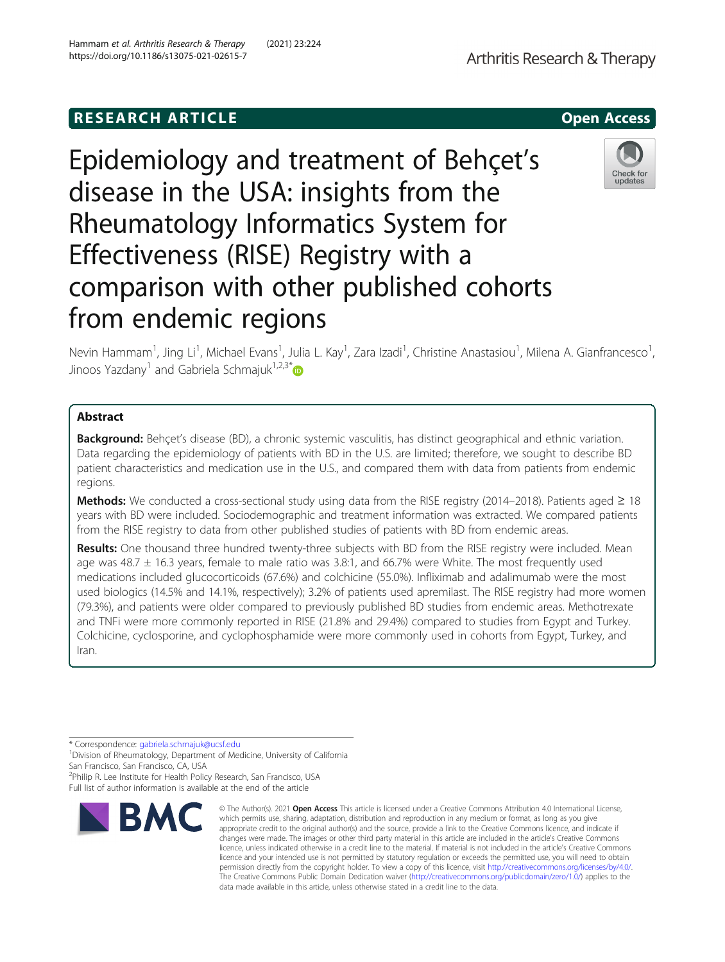# **RESEARCH ARTICLE Example 2014 12:30 The SEAR CH ACCESS**

Epidemiology and treatment of Behçet's disease in the USA: insights from the Rheumatology Informatics System for Effectiveness (RISE) Registry with a comparison with other published cohorts from endemic regions

Nevin Hammam<sup>1</sup>, Jing Li<sup>1</sup>, Michael Evans<sup>1</sup>, Julia L. Kay<sup>1</sup>, Zara Izadi<sup>1</sup>, Christine Anastasiou<sup>1</sup>, Milena A. Gianfrancesco<sup>1</sup> , Jinoos Yazdany<sup>1</sup> and Gabriela Schmajuk<sup>1,2,3[\\*](http://orcid.org/0000-0003-2687-5043)</sup>

# Abstract

**Background:** Behçet's disease (BD), a chronic systemic vasculitis, has distinct geographical and ethnic variation. Data regarding the epidemiology of patients with BD in the U.S. are limited; therefore, we sought to describe BD patient characteristics and medication use in the U.S., and compared them with data from patients from endemic regions.

**Methods:** We conducted a cross-sectional study using data from the RISE registry (2014–2018). Patients aged ≥ 18 years with BD were included. Sociodemographic and treatment information was extracted. We compared patients from the RISE registry to data from other published studies of patients with BD from endemic areas.

Results: One thousand three hundred twenty-three subjects with BD from the RISE registry were included. Mean age was 48.7 ± 16.3 years, female to male ratio was 3.8:1, and 66.7% were White. The most frequently used medications included glucocorticoids (67.6%) and colchicine (55.0%). Infliximab and adalimumab were the most used biologics (14.5% and 14.1%, respectively); 3.2% of patients used apremilast. The RISE registry had more women (79.3%), and patients were older compared to previously published BD studies from endemic areas. Methotrexate and TNFi were more commonly reported in RISE (21.8% and 29.4%) compared to studies from Egypt and Turkey. Colchicine, cyclosporine, and cyclophosphamide were more commonly used in cohorts from Egypt, Turkey, and Iran.

**BMC** 

<sup>2</sup>Philip R. Lee Institute for Health Policy Research, San Francisco, USA Full list of author information is available at the end of the article



updates





<sup>\*</sup> Correspondence: [gabriela.schmajuk@ucsf.edu](mailto:gabriela.schmajuk@ucsf.edu) <sup>1</sup>

<sup>&</sup>lt;sup>1</sup> Division of Rheumatology, Department of Medicine, University of California San Francisco, San Francisco, CA, USA

<sup>©</sup> The Author(s), 2021 **Open Access** This article is licensed under a Creative Commons Attribution 4.0 International License, which permits use, sharing, adaptation, distribution and reproduction in any medium or format, as long as you give appropriate credit to the original author(s) and the source, provide a link to the Creative Commons licence, and indicate if changes were made. The images or other third party material in this article are included in the article's Creative Commons licence, unless indicated otherwise in a credit line to the material. If material is not included in the article's Creative Commons licence and your intended use is not permitted by statutory regulation or exceeds the permitted use, you will need to obtain permission directly from the copyright holder. To view a copy of this licence, visit [http://creativecommons.org/licenses/by/4.0/.](http://creativecommons.org/licenses/by/4.0/) The Creative Commons Public Domain Dedication waiver [\(http://creativecommons.org/publicdomain/zero/1.0/](http://creativecommons.org/publicdomain/zero/1.0/)) applies to the data made available in this article, unless otherwise stated in a credit line to the data.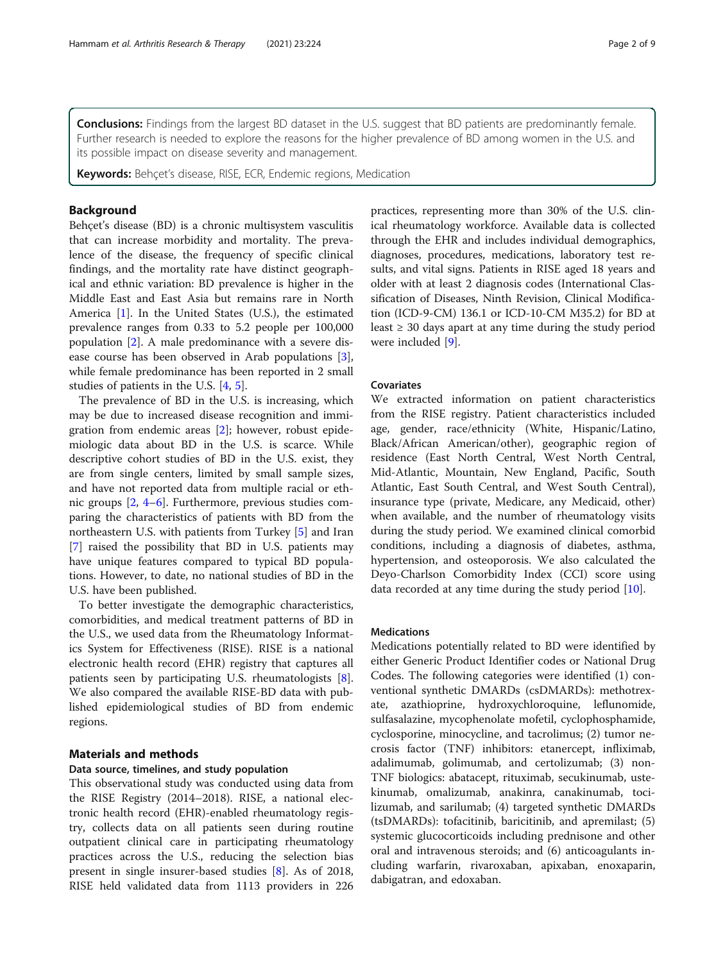**Conclusions:** Findings from the largest BD dataset in the U.S. suggest that BD patients are predominantly female. Further research is needed to explore the reasons for the higher prevalence of BD among women in the U.S. and its possible impact on disease severity and management.

Keywords: Behcet's disease, RISE, ECR, Endemic regions, Medication

# Background

Behçet's disease (BD) is a chronic multisystem vasculitis that can increase morbidity and mortality. The prevalence of the disease, the frequency of specific clinical findings, and the mortality rate have distinct geographical and ethnic variation: BD prevalence is higher in the Middle East and East Asia but remains rare in North America [[1\]](#page-7-0). In the United States (U.S.), the estimated prevalence ranges from 0.33 to 5.2 people per 100,000 population [[2](#page-7-0)]. A male predominance with a severe disease course has been observed in Arab populations [\[3](#page-7-0)], while female predominance has been reported in 2 small studies of patients in the U.S. [\[4](#page-7-0), [5](#page-7-0)].

The prevalence of BD in the U.S. is increasing, which may be due to increased disease recognition and immigration from endemic areas [\[2](#page-7-0)]; however, robust epidemiologic data about BD in the U.S. is scarce. While descriptive cohort studies of BD in the U.S. exist, they are from single centers, limited by small sample sizes, and have not reported data from multiple racial or ethnic groups [[2,](#page-7-0) [4](#page-7-0)–[6](#page-7-0)]. Furthermore, previous studies comparing the characteristics of patients with BD from the northeastern U.S. with patients from Turkey [[5\]](#page-7-0) and Iran [[7\]](#page-7-0) raised the possibility that BD in U.S. patients may have unique features compared to typical BD populations. However, to date, no national studies of BD in the U.S. have been published.

To better investigate the demographic characteristics, comorbidities, and medical treatment patterns of BD in the U.S., we used data from the Rheumatology Informatics System for Effectiveness (RISE). RISE is a national electronic health record (EHR) registry that captures all patients seen by participating U.S. rheumatologists [\[8](#page-7-0)]. We also compared the available RISE-BD data with published epidemiological studies of BD from endemic regions.

# Materials and methods

# Data source, timelines, and study population

This observational study was conducted using data from the RISE Registry (2014–2018). RISE, a national electronic health record (EHR)-enabled rheumatology registry, collects data on all patients seen during routine outpatient clinical care in participating rheumatology practices across the U.S., reducing the selection bias present in single insurer-based studies [[8\]](#page-7-0). As of 2018, RISE held validated data from 1113 providers in 226

practices, representing more than 30% of the U.S. clinical rheumatology workforce. Available data is collected through the EHR and includes individual demographics, diagnoses, procedures, medications, laboratory test results, and vital signs. Patients in RISE aged 18 years and older with at least 2 diagnosis codes (International Classification of Diseases, Ninth Revision, Clinical Modification (ICD-9-CM) 136.1 or ICD-10-CM M35.2) for BD at least  $\geq$  30 days apart at any time during the study period were included [\[9](#page-7-0)].

# Covariates

We extracted information on patient characteristics from the RISE registry. Patient characteristics included age, gender, race/ethnicity (White, Hispanic/Latino, Black/African American/other), geographic region of residence (East North Central, West North Central, Mid-Atlantic, Mountain, New England, Pacific, South Atlantic, East South Central, and West South Central), insurance type (private, Medicare, any Medicaid, other) when available, and the number of rheumatology visits during the study period. We examined clinical comorbid conditions, including a diagnosis of diabetes, asthma, hypertension, and osteoporosis. We also calculated the Deyo-Charlson Comorbidity Index (CCI) score using data recorded at any time during the study period [[10](#page-7-0)].

### Medications

Medications potentially related to BD were identified by either Generic Product Identifier codes or National Drug Codes. The following categories were identified (1) conventional synthetic DMARDs (csDMARDs): methotrexate, azathioprine, hydroxychloroquine, leflunomide, sulfasalazine, mycophenolate mofetil, cyclophosphamide, cyclosporine, minocycline, and tacrolimus; (2) tumor necrosis factor (TNF) inhibitors: etanercept, infliximab, adalimumab, golimumab, and certolizumab; (3) non-TNF biologics: abatacept, rituximab, secukinumab, ustekinumab, omalizumab, anakinra, canakinumab, tocilizumab, and sarilumab; (4) targeted synthetic DMARDs (tsDMARDs): tofacitinib, baricitinib, and apremilast; (5) systemic glucocorticoids including prednisone and other oral and intravenous steroids; and (6) anticoagulants including warfarin, rivaroxaban, apixaban, enoxaparin, dabigatran, and edoxaban.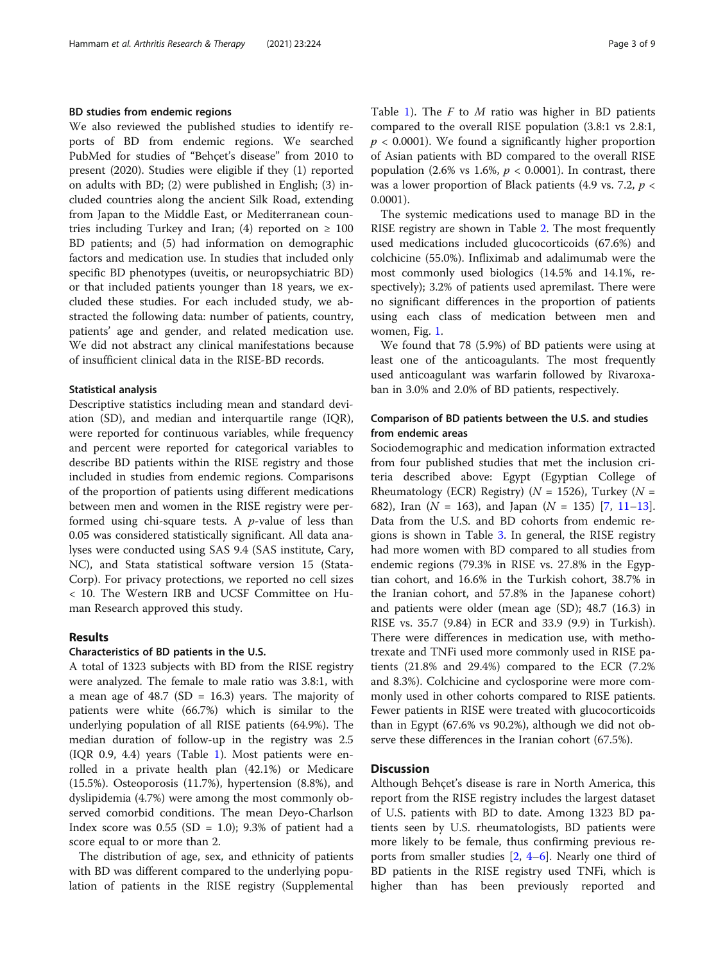### BD studies from endemic regions

We also reviewed the published studies to identify reports of BD from endemic regions. We searched PubMed for studies of "Behçet's disease" from 2010 to present (2020). Studies were eligible if they (1) reported on adults with BD; (2) were published in English; (3) included countries along the ancient Silk Road, extending from Japan to the Middle East, or Mediterranean countries including Turkey and Iran; (4) reported on  $\geq 100$ BD patients; and (5) had information on demographic factors and medication use. In studies that included only specific BD phenotypes (uveitis, or neuropsychiatric BD) or that included patients younger than 18 years, we excluded these studies. For each included study, we abstracted the following data: number of patients, country, patients' age and gender, and related medication use. We did not abstract any clinical manifestations because of insufficient clinical data in the RISE-BD records.

## Statistical analysis

Descriptive statistics including mean and standard deviation (SD), and median and interquartile range (IQR), were reported for continuous variables, while frequency and percent were reported for categorical variables to describe BD patients within the RISE registry and those included in studies from endemic regions. Comparisons of the proportion of patients using different medications between men and women in the RISE registry were performed using chi-square tests. A p-value of less than 0.05 was considered statistically significant. All data analyses were conducted using SAS 9.4 (SAS institute, Cary, NC), and Stata statistical software version 15 (Stata-Corp). For privacy protections, we reported no cell sizes < 10. The Western IRB and UCSF Committee on Human Research approved this study.

# Results

## Characteristics of BD patients in the U.S.

A total of 1323 subjects with BD from the RISE registry were analyzed. The female to male ratio was 3.8:1, with a mean age of  $48.7$  (SD = 16.3) years. The majority of patients were white (66.7%) which is similar to the underlying population of all RISE patients (64.9%). The median duration of follow-up in the registry was 2.5 (IQR 0.9, 4.4) years (Table [1\)](#page-3-0). Most patients were enrolled in a private health plan (42.1%) or Medicare (15.5%). Osteoporosis (11.7%), hypertension (8.8%), and dyslipidemia (4.7%) were among the most commonly observed comorbid conditions. The mean Deyo-Charlson Index score was  $0.55$  (SD = 1.0); 9.3% of patient had a score equal to or more than 2.

The distribution of age, sex, and ethnicity of patients with BD was different compared to the underlying population of patients in the RISE registry (Supplemental Table [1](#page-7-0)). The  $F$  to  $M$  ratio was higher in BD patients compared to the overall RISE population (3.8:1 vs 2.8:1,  $p < 0.0001$ ). We found a significantly higher proportion of Asian patients with BD compared to the overall RISE population (2.6% vs 1.6%,  $p < 0.0001$ ). In contrast, there was a lower proportion of Black patients (4.9 vs. 7.2,  $p \lt \theta$ 0.0001).

The systemic medications used to manage BD in the RISE registry are shown in Table [2.](#page-4-0) The most frequently used medications included glucocorticoids (67.6%) and colchicine (55.0%). Infliximab and adalimumab were the most commonly used biologics (14.5% and 14.1%, respectively); 3.2% of patients used apremilast. There were no significant differences in the proportion of patients using each class of medication between men and women, Fig. [1](#page-5-0).

We found that 78 (5.9%) of BD patients were using at least one of the anticoagulants. The most frequently used anticoagulant was warfarin followed by Rivaroxaban in 3.0% and 2.0% of BD patients, respectively.

# Comparison of BD patients between the U.S. and studies from endemic areas

Sociodemographic and medication information extracted from four published studies that met the inclusion criteria described above: Egypt (Egyptian College of Rheumatology (ECR) Registry) ( $N = 1526$ ), Turkey ( $N =$ 682), Iran ( $N = 163$ ), and Japan ( $N = 135$  $N = 135$  $N = 135$ ) [\[7](#page-7-0), [11](#page-7-0)–13]. Data from the U.S. and BD cohorts from endemic regions is shown in Table [3.](#page-6-0) In general, the RISE registry had more women with BD compared to all studies from endemic regions (79.3% in RISE vs. 27.8% in the Egyptian cohort, and 16.6% in the Turkish cohort, 38.7% in the Iranian cohort, and 57.8% in the Japanese cohort) and patients were older (mean age (SD); 48.7 (16.3) in RISE vs. 35.7 (9.84) in ECR and 33.9 (9.9) in Turkish). There were differences in medication use, with methotrexate and TNFi used more commonly used in RISE patients (21.8% and 29.4%) compared to the ECR (7.2% and 8.3%). Colchicine and cyclosporine were more commonly used in other cohorts compared to RISE patients. Fewer patients in RISE were treated with glucocorticoids than in Egypt (67.6% vs 90.2%), although we did not observe these differences in the Iranian cohort (67.5%).

# **Discussion**

Although Behçet's disease is rare in North America, this report from the RISE registry includes the largest dataset of U.S. patients with BD to date. Among 1323 BD patients seen by U.S. rheumatologists, BD patients were more likely to be female, thus confirming previous reports from smaller studies [[2,](#page-7-0) [4](#page-7-0)–[6](#page-7-0)]. Nearly one third of BD patients in the RISE registry used TNFi, which is higher than has been previously reported and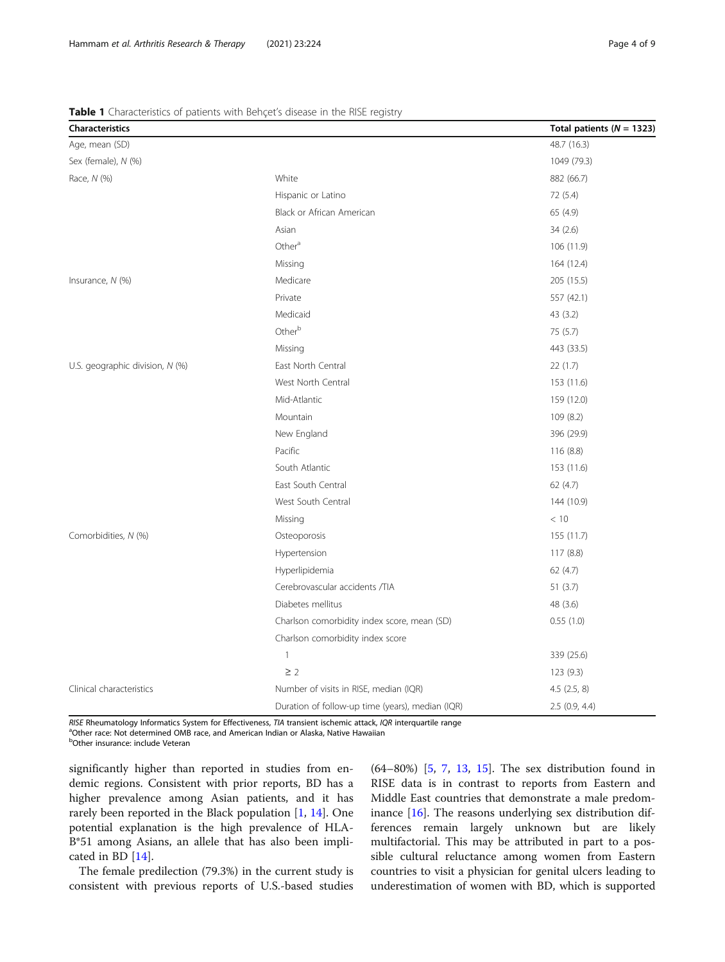RISE Rheumatology Informatics System for Effectiveness, TIA transient ischemic attack, IQR interquartile range

<sup>a</sup>Other race: Not determined OMB race, and American Indian or Alaska, Native Hawaiian

<sup>b</sup>Other insurance: include Veteran

significantly higher than reported in studies from endemic regions. Consistent with prior reports, BD has a higher prevalence among Asian patients, and it has rarely been reported in the Black population [[1,](#page-7-0) [14\]](#page-7-0). One potential explanation is the high prevalence of HLA-B\*51 among Asians, an allele that has also been implicated in BD [\[14](#page-7-0)].

The female predilection (79.3%) in the current study is consistent with previous reports of U.S.-based studies

(64–80%) [\[5](#page-7-0), [7,](#page-7-0) [13,](#page-7-0) [15](#page-7-0)]. The sex distribution found in RISE data is in contrast to reports from Eastern and Middle East countries that demonstrate a male predominance [[16\]](#page-7-0). The reasons underlying sex distribution differences remain largely unknown but are likely multifactorial. This may be attributed in part to a possible cultural reluctance among women from Eastern countries to visit a physician for genital ulcers leading to underestimation of women with BD, which is supported

<span id="page-3-0"></span>

|                                 | Table 1 Characteristics of patients with Behçet's disease in the RISE registry |                               |
|---------------------------------|--------------------------------------------------------------------------------|-------------------------------|
| <b>Characteristics</b>          |                                                                                | Total patients ( $N = 1323$ ) |
| Age, mean (SD)                  |                                                                                | 48.7 (16.3)                   |
| Sex (female), N (%)             |                                                                                | 1049 (79.3)                   |
| Race, N (%)                     | White                                                                          | 882 (66.7)                    |
|                                 | Hispanic or Latino                                                             | 72 (5.4)                      |
|                                 | Black or African American                                                      | 65 (4.9)                      |
|                                 | Asian                                                                          | 34(2.6)                       |
|                                 | Other <sup>a</sup>                                                             | 106 (11.9)                    |
|                                 | Missing                                                                        | 164 (12.4)                    |
| Insurance, $N$ (%)              | Medicare                                                                       | 205 (15.5)                    |
|                                 | Private                                                                        | 557 (42.1)                    |
|                                 | Medicaid                                                                       | 43 (3.2)                      |
|                                 | Otherb                                                                         | 75(5.7)                       |
|                                 | Missing                                                                        | 443 (33.5)                    |
| U.S. geographic division, N (%) | East North Central                                                             | 22(1.7)                       |
|                                 | West North Central                                                             | 153 (11.6)                    |
|                                 | Mid-Atlantic                                                                   | 159 (12.0)                    |
|                                 | Mountain                                                                       | 109 (8.2)                     |
|                                 | New England                                                                    | 396 (29.9)                    |
|                                 | Pacific                                                                        | 116 (8.8)                     |
|                                 | South Atlantic                                                                 | 153 (11.6)                    |
|                                 | East South Central                                                             | 62 (4.7)                      |
|                                 | West South Central                                                             | 144 (10.9)                    |
|                                 | Missing                                                                        | < 10                          |
| Comorbidities, N (%)            | Osteoporosis                                                                   | 155 (11.7)                    |
|                                 | Hypertension                                                                   | 117(8.8)                      |
|                                 | Hyperlipidemia                                                                 | 62 (4.7)                      |
|                                 | Cerebrovascular accidents /TIA                                                 | 51(3.7)                       |
|                                 | Diabetes mellitus                                                              | 48 (3.6)                      |
|                                 | Charlson comorbidity index score, mean (SD)                                    | 0.55(1.0)                     |
|                                 | Charlson comorbidity index score                                               |                               |
|                                 | $\mathbf{1}$                                                                   | 339 (25.6)                    |
|                                 | $\geq$ 2                                                                       | 123(9.3)                      |
| Clinical characteristics        | Number of visits in RISE, median (IQR)                                         | $4.5$ $(2.5, 8)$              |
|                                 | Duration of follow-up time (years), median (IOR)                               | 2.5(0.9.4.4)                  |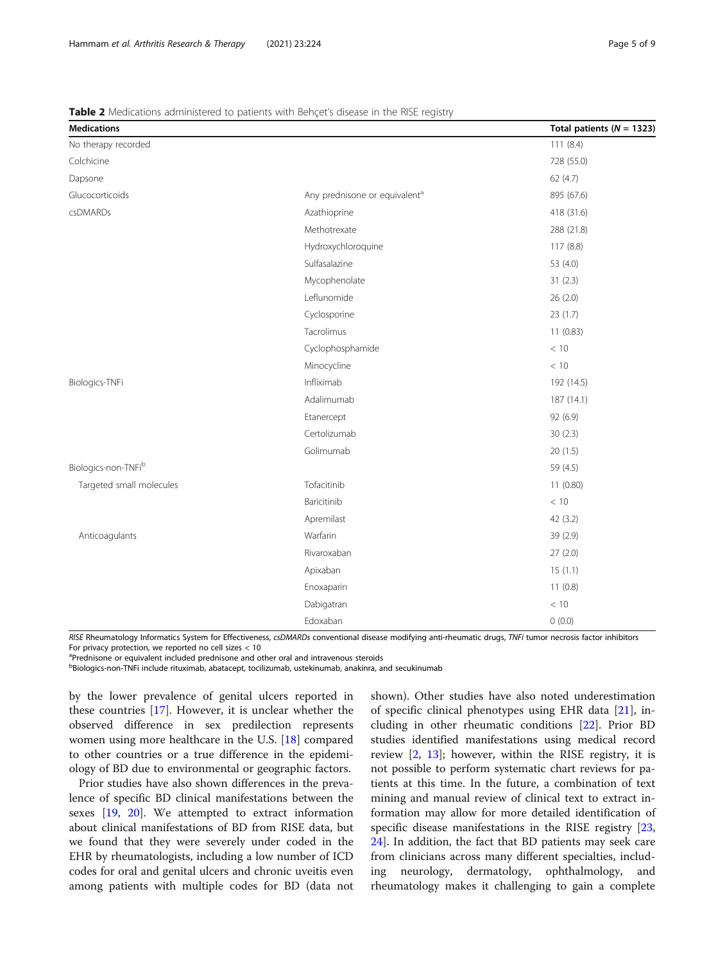RISE Rheumatology Informatics System for Effectiveness, csDMARDs conventional disease modifying anti-rheumatic drugs, TNFi tumor necrosis factor inhibitors For privacy protection, we reported no cell sizes < 10

<sup>a</sup>Prednisone or equivalent included prednisone and other oral and intravenous steroids

<sup>b</sup>Biologics-non-TNFi include rituximab, abatacept, tocilizumab, ustekinumab, anakinra, and secukinumab

by the lower prevalence of genital ulcers reported in these countries [\[17](#page-7-0)]. However, it is unclear whether the observed difference in sex predilection represents women using more healthcare in the U.S. [[18\]](#page-7-0) compared to other countries or a true difference in the epidemiology of BD due to environmental or geographic factors.

Prior studies have also shown differences in the prevalence of specific BD clinical manifestations between the sexes [\[19,](#page-7-0) [20\]](#page-8-0). We attempted to extract information about clinical manifestations of BD from RISE data, but we found that they were severely under coded in the EHR by rheumatologists, including a low number of ICD codes for oral and genital ulcers and chronic uveitis even among patients with multiple codes for BD (data not

shown). Other studies have also noted underestimation of specific clinical phenotypes using EHR data [[21\]](#page-8-0), including in other rheumatic conditions [\[22\]](#page-8-0). Prior BD studies identified manifestations using medical record review [\[2,](#page-7-0) [13\]](#page-7-0); however, within the RISE registry, it is not possible to perform systematic chart reviews for patients at this time. In the future, a combination of text mining and manual review of clinical text to extract information may allow for more detailed identification of specific disease manifestations in the RISE registry [[23](#page-8-0), [24\]](#page-8-0). In addition, the fact that BD patients may seek care from clinicians across many different specialties, including neurology, dermatology, ophthalmology, and rheumatology makes it challenging to gain a complete

<span id="page-4-0"></span>

| <b>Table 2</b> Medications administered to patients with Behcet's disease in the RISE registry |  |  |
|------------------------------------------------------------------------------------------------|--|--|
|                                                                                                |  |  |

| <b>Medications</b>       |                                           | Total patients ( $N = 1323$ ) |
|--------------------------|-------------------------------------------|-------------------------------|
| No therapy recorded      |                                           | 111(8.4)                      |
| Colchicine               |                                           | 728 (55.0)                    |
| Dapsone                  |                                           | 62(4.7)                       |
| Glucocorticoids          | Any prednisone or equivalent <sup>a</sup> | 895 (67.6)                    |
| csDMARDs                 | Azathioprine                              | 418 (31.6)                    |
|                          | Methotrexate                              | 288 (21.8)                    |
|                          | Hydroxychloroquine                        | 117(8.8)                      |
|                          | Sulfasalazine                             | 53 (4.0)                      |
|                          | Mycophenolate                             | 31(2.3)                       |
|                          | Leflunomide                               | 26 (2.0)                      |
|                          | Cyclosporine                              | 23(1.7)                       |
|                          | Tacrolimus                                | 11(0.83)                      |
|                          | Cyclophosphamide                          | < 10                          |
|                          | Minocycline                               | < 10                          |
| Biologics-TNFi           | Infliximab                                | 192 (14.5)                    |
|                          | Adalimumab                                | 187 (14.1)                    |
|                          | Etanercept                                | 92 (6.9)                      |
|                          | Certolizumab                              | 30(2.3)                       |
|                          | Golimumab                                 | 20(1.5)                       |
| Biologics-non-TNFib      |                                           | 59 (4.5)                      |
| Targeted small molecules | Tofacitinib                               | 11(0.80)                      |
|                          | Baricitinib                               | < 10                          |
|                          | Apremilast                                | 42(3.2)                       |
| Anticoagulants           | Warfarin                                  | 39 (2.9)                      |
|                          | Rivaroxaban                               | 27(2.0)                       |
|                          | Apixaban                                  | 15(1.1)                       |
|                          | Enoxaparin                                | 11(0.8)                       |
|                          | Dabigatran                                | $<10$                         |
|                          | Edoxaban                                  | 0(0.0)                        |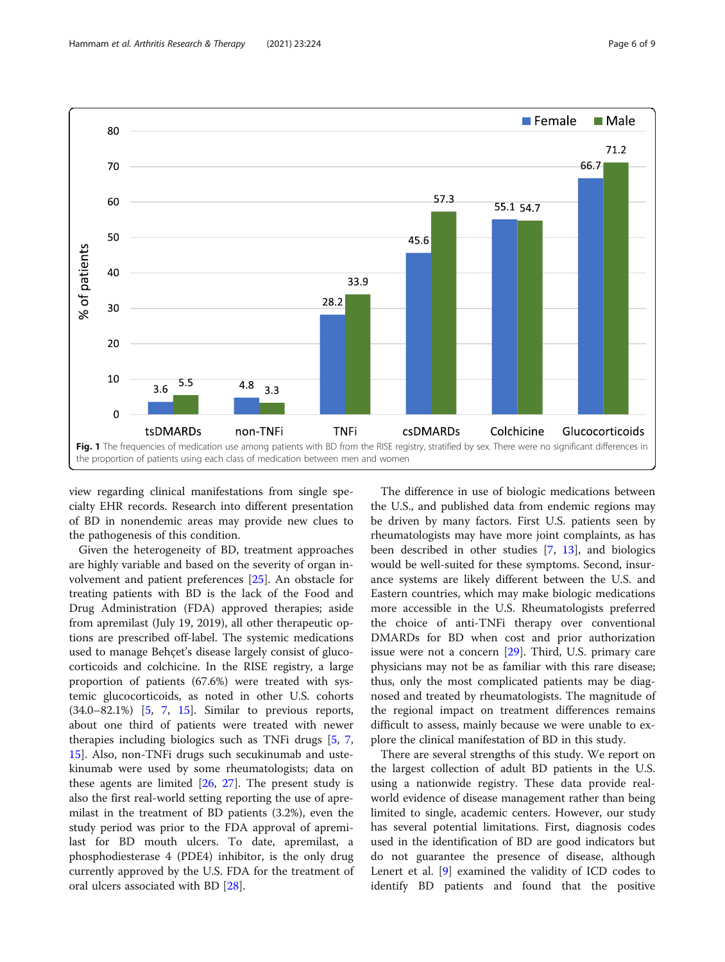<span id="page-5-0"></span>

view regarding clinical manifestations from single specialty EHR records. Research into different presentation of BD in nonendemic areas may provide new clues to the pathogenesis of this condition.

Given the heterogeneity of BD, treatment approaches are highly variable and based on the severity of organ involvement and patient preferences [\[25\]](#page-8-0). An obstacle for treating patients with BD is the lack of the Food and Drug Administration (FDA) approved therapies; aside from apremilast (July 19, 2019), all other therapeutic options are prescribed off-label. The systemic medications used to manage Behçet's disease largely consist of glucocorticoids and colchicine. In the RISE registry, a large proportion of patients (67.6%) were treated with systemic glucocorticoids, as noted in other U.S. cohorts (34.0–82.1%) [\[5](#page-7-0), [7,](#page-7-0) [15](#page-7-0)]. Similar to previous reports, about one third of patients were treated with newer therapies including biologics such as TNFi drugs [\[5](#page-7-0), [7](#page-7-0), [15\]](#page-7-0). Also, non-TNFi drugs such secukinumab and ustekinumab were used by some rheumatologists; data on these agents are limited  $[26, 27]$  $[26, 27]$  $[26, 27]$  $[26, 27]$ . The present study is also the first real-world setting reporting the use of apremilast in the treatment of BD patients (3.2%), even the study period was prior to the FDA approval of apremilast for BD mouth ulcers. To date, apremilast, a phosphodiesterase 4 (PDE4) inhibitor, is the only drug currently approved by the U.S. FDA for the treatment of oral ulcers associated with BD [[28](#page-8-0)].

The difference in use of biologic medications between the U.S., and published data from endemic regions may be driven by many factors. First U.S. patients seen by rheumatologists may have more joint complaints, as has been described in other studies [[7,](#page-7-0) [13\]](#page-7-0), and biologics would be well-suited for these symptoms. Second, insurance systems are likely different between the U.S. and Eastern countries, which may make biologic medications more accessible in the U.S. Rheumatologists preferred the choice of anti-TNFi therapy over conventional DMARDs for BD when cost and prior authorization issue were not a concern [\[29](#page-8-0)]. Third, U.S. primary care physicians may not be as familiar with this rare disease; thus, only the most complicated patients may be diagnosed and treated by rheumatologists. The magnitude of the regional impact on treatment differences remains difficult to assess, mainly because we were unable to explore the clinical manifestation of BD in this study.

There are several strengths of this study. We report on the largest collection of adult BD patients in the U.S. using a nationwide registry. These data provide realworld evidence of disease management rather than being limited to single, academic centers. However, our study has several potential limitations. First, diagnosis codes used in the identification of BD are good indicators but do not guarantee the presence of disease, although Lenert et al. [[9\]](#page-7-0) examined the validity of ICD codes to identify BD patients and found that the positive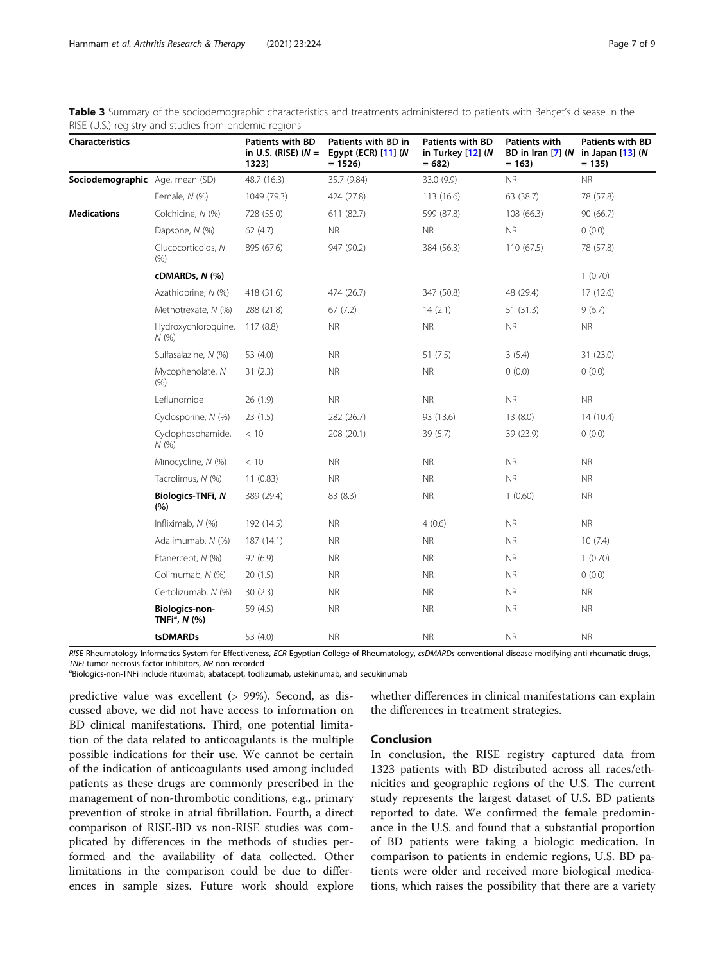<span id="page-6-0"></span>

| Table 3 Summary of the sociodemographic characteristics and treatments administered to patients with Behçet's disease in the |  |  |
|------------------------------------------------------------------------------------------------------------------------------|--|--|
| RISE (U.S.) registry and studies from endemic regions                                                                        |  |  |

| Characteristics                 |                                               | <b>Patients with BD</b><br>in U.S. (RISE) $(N =$<br>1323) | Patients with BD in<br>Egypt (ECR) [11] (N<br>$= 1526$ | <b>Patients with BD</b><br>in Turkey [12] (N<br>$= 682$ | <b>Patients with</b><br>$= 163$ | <b>Patients with BD</b><br>BD in Iran $[7]$ (N in Japan $[13]$ (N<br>$= 135$ |
|---------------------------------|-----------------------------------------------|-----------------------------------------------------------|--------------------------------------------------------|---------------------------------------------------------|---------------------------------|------------------------------------------------------------------------------|
| Sociodemographic Age, mean (SD) |                                               | 48.7 (16.3)                                               | 35.7 (9.84)                                            | 33.0 (9.9)                                              | <b>NR</b>                       | <b>NR</b>                                                                    |
|                                 | Female, N (%)                                 | 1049 (79.3)                                               | 424 (27.8)                                             | 113 (16.6)                                              | 63 (38.7)                       | 78 (57.8)                                                                    |
| <b>Medications</b>              | Colchicine, N (%)                             | 728 (55.0)                                                | 611 (82.7)                                             | 599 (87.8)                                              | 108 (66.3)                      | 90 (66.7)                                                                    |
|                                 | Dapsone, N (%)                                | 62(4.7)                                                   | <b>NR</b>                                              | <b>NR</b>                                               | <b>NR</b>                       | 0(0.0)                                                                       |
|                                 | Glucocorticoids, N<br>(% )                    | 895 (67.6)                                                | 947 (90.2)                                             | 384 (56.3)                                              | 110(67.5)                       | 78 (57.8)                                                                    |
|                                 | cDMARDs, N (%)                                |                                                           |                                                        |                                                         |                                 | 1(0.70)                                                                      |
|                                 | Azathioprine, N (%)                           | 418 (31.6)                                                | 474 (26.7)                                             | 347 (50.8)                                              | 48 (29.4)                       | 17(12.6)                                                                     |
|                                 | Methotrexate, N (%)                           | 288 (21.8)                                                | 67 (7.2)                                               | 14(2.1)                                                 | 51(31.3)                        | 9(6.7)                                                                       |
|                                 | Hydroxychloroquine,<br>N(%                    | 117(8.8)                                                  | <b>NR</b>                                              | <b>NR</b>                                               | <b>NR</b>                       | <b>NR</b>                                                                    |
|                                 | Sulfasalazine, N (%)                          | 53 (4.0)                                                  | <b>NR</b>                                              | 51(7.5)                                                 | 3(5.4)                          | 31 (23.0)                                                                    |
|                                 | Mycophenolate, N<br>(% )                      | 31(2.3)                                                   | <b>NR</b>                                              | <b>NR</b>                                               | 0(0.0)                          | 0(0.0)                                                                       |
|                                 | Leflunomide                                   | 26(1.9)                                                   | <b>NR</b>                                              | <b>NR</b>                                               | <b>NR</b>                       | <b>NR</b>                                                                    |
|                                 | Cyclosporine, N (%)                           | 23(1.5)                                                   | 282 (26.7)                                             | 93 (13.6)                                               | 13(8.0)                         | 14(10.4)                                                                     |
|                                 | Cyclophosphamide,<br>N(%                      | < 10                                                      | 208 (20.1)                                             | 39(5.7)                                                 | 39 (23.9)                       | 0(0.0)                                                                       |
|                                 | Minocycline, N (%)                            | < 10                                                      | <b>NR</b>                                              | <b>NR</b>                                               | <b>NR</b>                       | <b>NR</b>                                                                    |
|                                 | Tacrolimus, N (%)                             | 11(0.83)                                                  | <b>NR</b>                                              | <b>NR</b>                                               | <b>NR</b>                       | <b>NR</b>                                                                    |
|                                 | <b>Biologics-TNFi, N</b><br>(%)               | 389 (29.4)                                                | 83 (8.3)                                               | <b>NR</b>                                               | 1(0.60)                         | <b>NR</b>                                                                    |
|                                 | Infliximab, N (%)                             | 192 (14.5)                                                | <b>NR</b>                                              | 4(0.6)                                                  | <b>NR</b>                       | <b>NR</b>                                                                    |
|                                 | Adalimumab, N (%)                             | 187(14.1)                                                 | <b>NR</b>                                              | <b>NR</b>                                               | <b>NR</b>                       | 10(7.4)                                                                      |
|                                 | Etanercept, N (%)                             | 92 (6.9)                                                  | <b>NR</b>                                              | <b>NR</b>                                               | <b>NR</b>                       | 1(0.70)                                                                      |
|                                 | Golimumab, N (%)                              | 20(1.5)                                                   | <b>NR</b>                                              | <b>NR</b>                                               | <b>NR</b>                       | 0(0.0)                                                                       |
|                                 | Certolizumab, N (%)                           | 30(2.3)                                                   | <b>NR</b>                                              | <b>NR</b>                                               | <b>NR</b>                       | <b>NR</b>                                                                    |
|                                 | Biologics-non-<br>TNFi <sup>a</sup> , $N$ (%) | 59 (4.5)                                                  | <b>NR</b>                                              | <b>NR</b>                                               | <b>NR</b>                       | <b>NR</b>                                                                    |
|                                 | tsDMARDs                                      | 53 (4.0)                                                  | <b>NR</b>                                              | <b>NR</b>                                               | <b>NR</b>                       | <b>NR</b>                                                                    |

RISE Rheumatology Informatics System for Effectiveness, ECR Egyptian College of Rheumatology, csDMARDs conventional disease modifying anti-rheumatic drugs, TNFi tumor necrosis factor inhibitors, NR non recorded

aBiologics-non-TNFi include rituximab, abatacept, tocilizumab, ustekinumab, and secukinumab

predictive value was excellent (> 99%). Second, as discussed above, we did not have access to information on BD clinical manifestations. Third, one potential limitation of the data related to anticoagulants is the multiple possible indications for their use. We cannot be certain of the indication of anticoagulants used among included patients as these drugs are commonly prescribed in the management of non-thrombotic conditions, e.g., primary prevention of stroke in atrial fibrillation. Fourth, a direct comparison of RISE-BD vs non-RISE studies was complicated by differences in the methods of studies performed and the availability of data collected. Other limitations in the comparison could be due to differences in sample sizes. Future work should explore

### Conclusion

In conclusion, the RISE registry captured data from 1323 patients with BD distributed across all races/ethnicities and geographic regions of the U.S. The current study represents the largest dataset of U.S. BD patients reported to date. We confirmed the female predominance in the U.S. and found that a substantial proportion of BD patients were taking a biologic medication. In comparison to patients in endemic regions, U.S. BD patients were older and received more biological medications, which raises the possibility that there are a variety

whether differences in clinical manifestations can explain

the differences in treatment strategies.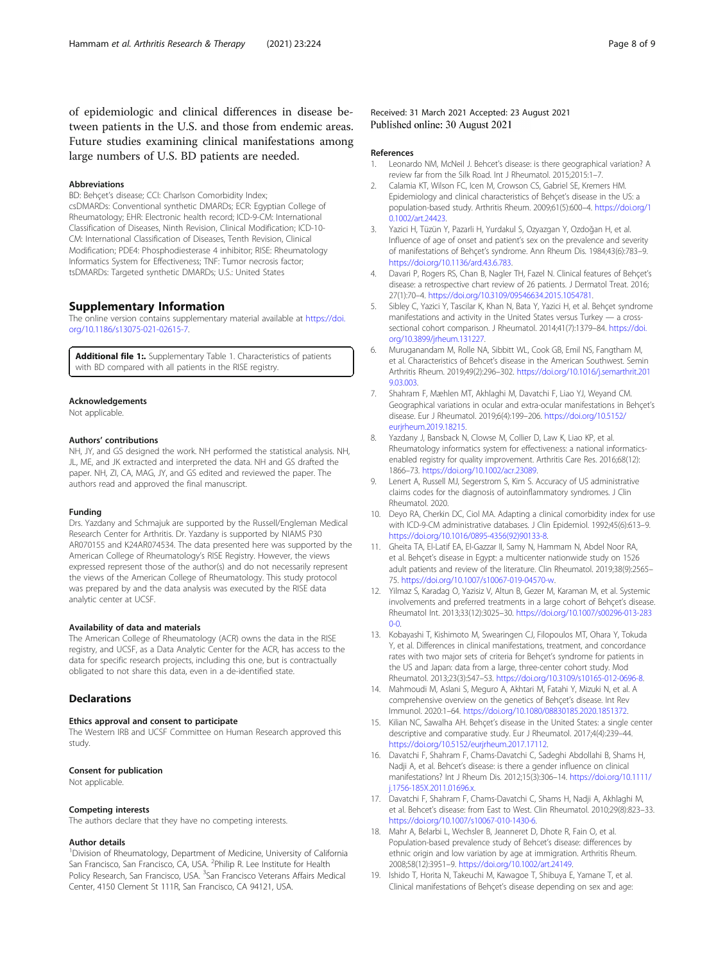<span id="page-7-0"></span>of epidemiologic and clinical differences in disease between patients in the U.S. and those from endemic areas. Future studies examining clinical manifestations among large numbers of U.S. BD patients are needed.

#### Abbreviations

BD: Behçet's disease; CCI: Charlson Comorbidity Index; csDMARDs: Conventional synthetic DMARDs; ECR: Egyptian College of Rheumatology; EHR: Electronic health record; ICD-9-CM: International Classification of Diseases, Ninth Revision, Clinical Modification; ICD-10- CM: International Classification of Diseases, Tenth Revision, Clinical Modification; PDE4: Phosphodiesterase 4 inhibitor; RISE: Rheumatology Informatics System for Effectiveness; TNF: Tumor necrosis factor; tsDMARDs: Targeted synthetic DMARDs; U.S.: United States

### Supplementary Information

The online version contains supplementary material available at [https://doi.](https://doi.org/10.1186/s13075-021-02615-7) [org/10.1186/s13075-021-02615-7.](https://doi.org/10.1186/s13075-021-02615-7)

Additional file 1: Supplementary Table 1. Characteristics of patients with BD compared with all patients in the RISE registry.

#### Acknowledgements

Not applicable.

#### Authors' contributions

NH, JY, and GS designed the work. NH performed the statistical analysis. NH, JL, ME, and JK extracted and interpreted the data. NH and GS drafted the paper. NH, ZI, CA, MAG, JY, and GS edited and reviewed the paper. The authors read and approved the final manuscript.

#### Funding

Drs. Yazdany and Schmajuk are supported by the Russell/Engleman Medical Research Center for Arthritis. Dr. Yazdany is supported by NIAMS P30 AR070155 and K24AR074534. The data presented here was supported by the American College of Rheumatology's RISE Registry. However, the views expressed represent those of the author(s) and do not necessarily represent the views of the American College of Rheumatology. This study protocol was prepared by and the data analysis was executed by the RISE data analytic center at UCSF.

### Availability of data and materials

The American College of Rheumatology (ACR) owns the data in the RISE registry, and UCSF, as a Data Analytic Center for the ACR, has access to the data for specific research projects, including this one, but is contractually obligated to not share this data, even in a de-identified state.

#### **Declarations**

### Ethics approval and consent to participate

The Western IRB and UCSF Committee on Human Research approved this study.

#### Consent for publication

Not applicable.

#### Competing interests

The authors declare that they have no competing interests.

#### Author details

<sup>1</sup> Division of Rheumatology, Department of Medicine, University of California San Francisco, San Francisco, CA, USA. <sup>2</sup>Philip R. Lee Institute for Health Policy Research, San Francisco, USA. <sup>3</sup>San Francisco Veterans Affairs Medical Center, 4150 Clement St 111R, San Francisco, CA 94121, USA.

### Received: 31 March 2021 Accepted: 23 August 2021 Published online: 30 August 2021

#### References

- 1. Leonardo NM, McNeil J. Behcet's disease: is there geographical variation? A review far from the Silk Road. Int J Rheumatol. 2015;2015:1–7.
- 2. Calamia KT, Wilson FC, Icen M, Crowson CS, Gabriel SE, Kremers HM. Epidemiology and clinical characteristics of Behçet's disease in the US: a population-based study. Arthritis Rheum. 2009;61(5):600–4. [https://doi.org/1](https://doi.org/10.1002/art.24423) [0.1002/art.24423](https://doi.org/10.1002/art.24423).
- 3. Yazici H, Tüzün Y, Pazarli H, Yurdakul S, Ozyazgan Y, Ozdoğan H, et al. Influence of age of onset and patient's sex on the prevalence and severity of manifestations of Behçet's syndrome. Ann Rheum Dis. 1984;43(6):783–9. <https://doi.org/10.1136/ard.43.6.783>.
- 4. Davari P, Rogers RS, Chan B, Nagler TH, Fazel N. Clinical features of Behçet's disease: a retrospective chart review of 26 patients. J Dermatol Treat. 2016; 27(1):70–4. <https://doi.org/10.3109/09546634.2015.1054781>.
- 5. Sibley C, Yazici Y, Tascilar K, Khan N, Bata Y, Yazici H, et al. Behçet syndrome manifestations and activity in the United States versus Turkey — a crosssectional cohort comparison. J Rheumatol. 2014;41(7):1379–84. [https://doi.](https://doi.org/10.3899/jrheum.131227) [org/10.3899/jrheum.131227.](https://doi.org/10.3899/jrheum.131227)
- 6. Muruganandam M, Rolle NA, Sibbitt WL, Cook GB, Emil NS, Fangtham M, et al. Characteristics of Behcet's disease in the American Southwest. Semin Arthritis Rheum. 2019;49(2):296–302. [https://doi.org/10.1016/j.semarthrit.201](https://doi.org/10.1016/j.semarthrit.2019.03.003) [9.03.003.](https://doi.org/10.1016/j.semarthrit.2019.03.003)
- 7. Shahram F, Mæhlen MT, Akhlaghi M, Davatchi F, Liao YJ, Weyand CM. Geographical variations in ocular and extra-ocular manifestations in Behçet's disease. Eur J Rheumatol. 2019;6(4):199–206. [https://doi.org/10.5152/](https://doi.org/10.5152/eurjrheum.2019.18215) [eurjrheum.2019.18215](https://doi.org/10.5152/eurjrheum.2019.18215).
- 8. Yazdany J, Bansback N, Clowse M, Collier D, Law K, Liao KP, et al. Rheumatology informatics system for effectiveness: a national informaticsenabled registry for quality improvement. Arthritis Care Res. 2016;68(12): 1866–73. [https://doi.org/10.1002/acr.23089.](https://doi.org/10.1002/acr.23089)
- 9. Lenert A, Russell MJ, Segerstrom S, Kim S. Accuracy of US administrative claims codes for the diagnosis of autoinflammatory syndromes. J Clin Rheumatol. 2020.
- 10. Deyo RA, Cherkin DC, Ciol MA. Adapting a clinical comorbidity index for use with ICD-9-CM administrative databases. J Clin Epidemiol. 1992;45(6):613–9. [https://doi.org/10.1016/0895-4356\(92\)90133-8](https://doi.org/10.1016/0895-4356(92)90133-8).
- 11. Gheita TA, El-Latif EA, El-Gazzar II, Samy N, Hammam N, Abdel Noor RA, et al. Behçet's disease in Egypt: a multicenter nationwide study on 1526 adult patients and review of the literature. Clin Rheumatol. 2019;38(9):2565– 75. <https://doi.org/10.1007/s10067-019-04570-w>.
- 12. Yilmaz S, Karadag O, Yazisiz V, Altun B, Gezer M, Karaman M, et al. Systemic involvements and preferred treatments in a large cohort of Behçet's disease. Rheumatol Int. 2013;33(12):3025–30. [https://doi.org/10.1007/s00296-013-283](https://doi.org/10.1007/s00296-013-2830-0)  $0 - 0.$
- 13. Kobayashi T, Kishimoto M, Swearingen CJ, Filopoulos MT, Ohara Y, Tokuda Y, et al. Differences in clinical manifestations, treatment, and concordance rates with two major sets of criteria for Behçet's syndrome for patients in the US and Japan: data from a large, three-center cohort study. Mod Rheumatol. 2013;23(3):547–53. <https://doi.org/10.3109/s10165-012-0696-8>.
- 14. Mahmoudi M, Aslani S, Meguro A, Akhtari M, Fatahi Y, Mizuki N, et al. A comprehensive overview on the genetics of Behçet's disease. Int Rev Immunol. 2020:1–64. <https://doi.org/10.1080/08830185.2020.1851372>.
- 15. Kilian NC, Sawalha AH. Behçet's disease in the United States: a single center descriptive and comparative study. Eur J Rheumatol. 2017;4(4):239–44. <https://doi.org/10.5152/eurjrheum.2017.17112>.
- 16. Davatchi F, Shahram F, Chams-Davatchi C, Sadeghi Abdollahi B, Shams H, Nadji A, et al. Behcet's disease: is there a gender influence on clinical manifestations? Int J Rheum Dis. 2012;15(3):306–14. [https://doi.org/10.1111/](https://doi.org/10.1111/j.1756-185X.2011.01696.x) [j.1756-185X.2011.01696.x.](https://doi.org/10.1111/j.1756-185X.2011.01696.x)
- 17. Davatchi F, Shahram F, Chams-Davatchi C, Shams H, Nadji A, Akhlaghi M, et al. Behcet's disease: from East to West. Clin Rheumatol. 2010;29(8):823–33. <https://doi.org/10.1007/s10067-010-1430-6>.
- 18. Mahr A, Belarbi L, Wechsler B, Jeanneret D, Dhote R, Fain O, et al. Population-based prevalence study of Behcet's disease: differences by ethnic origin and low variation by age at immigration. Arthritis Rheum. 2008;58(12):3951–9. [https://doi.org/10.1002/art.24149.](https://doi.org/10.1002/art.24149)
- 19. Ishido T, Horita N, Takeuchi M, Kawagoe T, Shibuya E, Yamane T, et al. Clinical manifestations of Behçet's disease depending on sex and age: